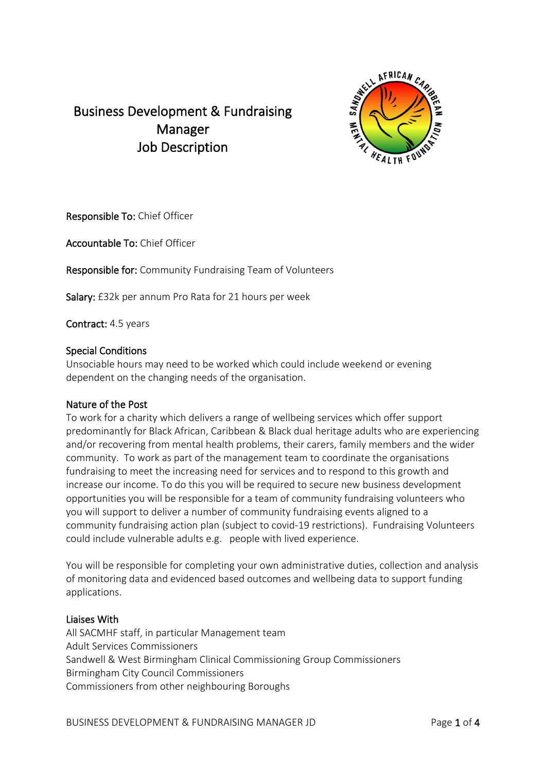

## Business Development & Fundraising Manager Job Description

Responsible To: Chief Officer

Accountable To: Chief Officer

Responsible for: Community Fundraising Team of Volunteers

Salary: £32k per annum Pro Rata for 21 hours per week

Contract: 4.5 years

#### Special Conditions

Unsociable hours may need to be worked which could include weekend or evening dependent on the changing needs of the organisation.

### Nature of the Post

To work for a charity which delivers a range of wellbeing services which offer support predominantly for Black African, Caribbean & Black dual heritage adults who are experiencing and/or recovering from mental health problems, their carers, family members and the wider community. To work as part of the management team to coordinate the organisations fundraising to meet the increasing need for services and to respond to this growth and increase our income. To do this you will be required to secure new business development opportunities you will be responsible for a team of community fundraising volunteers who you will support to deliver a number of community fundraising events aligned to a community fundraising action plan (subject to covid-19 restrictions). Fundraising Volunteers could include vulnerable adults e.g. people with lived experience.

You will be responsible for completing your own administrative duties, collection and analysis of monitoring data and evidenced based outcomes and wellbeing data to support funding applications.

### Liaises With

All SACMHF staff, in particular Management team Adult Services Commissioners Sandwell & West Birmingham Clinical Commissioning Group Commissioners Birmingham City Council Commissioners Commissioners from other neighbouring Boroughs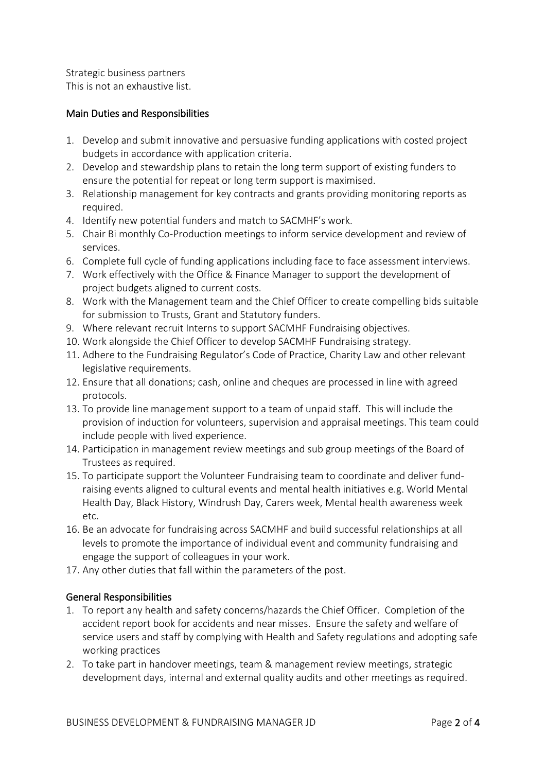Strategic business partners This is not an exhaustive list.

## Main Duties and Responsibilities

- 1. Develop and submit innovative and persuasive funding applications with costed project budgets in accordance with application criteria.
- 2. Develop and stewardship plans to retain the long term support of existing funders to ensure the potential for repeat or long term support is maximised.
- 3. Relationship management for key contracts and grants providing monitoring reports as required.
- 4. Identify new potential funders and match to SACMHF's work.
- 5. Chair Bi monthly Co-Production meetings to inform service development and review of services.
- 6. Complete full cycle of funding applications including face to face assessment interviews.
- 7. Work effectively with the Office & Finance Manager to support the development of project budgets aligned to current costs.
- 8. Work with the Management team and the Chief Officer to create compelling bids suitable for submission to Trusts, Grant and Statutory funders.
- 9. Where relevant recruit Interns to support SACMHF Fundraising objectives.
- 10. Work alongside the Chief Officer to develop SACMHF Fundraising strategy.
- 11. Adhere to the Fundraising Regulator's Code of Practice, Charity Law and other relevant legislative requirements.
- 12. Ensure that all donations; cash, online and cheques are processed in line with agreed protocols.
- 13. To provide line management support to a team of unpaid staff. This will include the provision of induction for volunteers, supervision and appraisal meetings. This team could include people with lived experience.
- 14. Participation in management review meetings and sub group meetings of the Board of Trustees as required.
- 15. To participate support the Volunteer Fundraising team to coordinate and deliver fundraising events aligned to cultural events and mental health initiatives e.g. World Mental Health Day, Black History, Windrush Day, Carers week, Mental health awareness week etc.
- 16. Be an advocate for fundraising across SACMHF and build successful relationships at all levels to promote the importance of individual event and community fundraising and engage the support of colleagues in your work.
- 17. Any other duties that fall within the parameters of the post.

## General Responsibilities

- 1. To report any health and safety concerns/hazards the Chief Officer. Completion of the accident report book for accidents and near misses. Ensure the safety and welfare of service users and staff by complying with Health and Safety regulations and adopting safe working practices
- 2. To take part in handover meetings, team & management review meetings, strategic development days, internal and external quality audits and other meetings as required.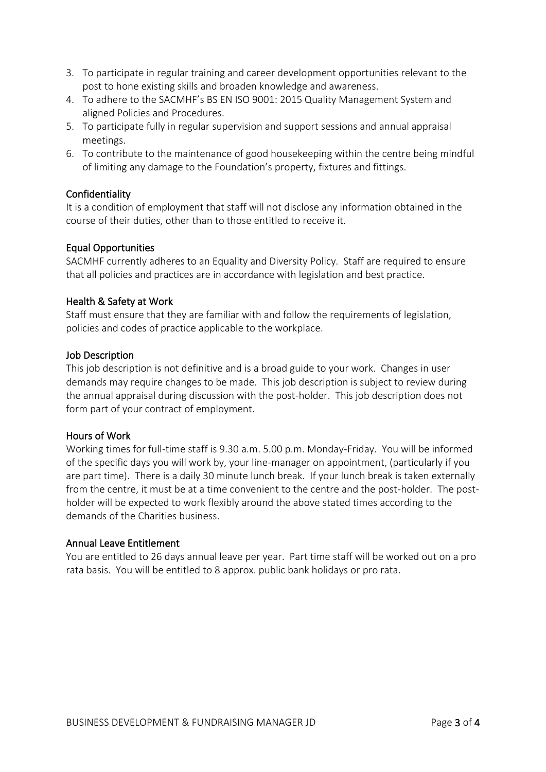- 3. To participate in regular training and career development opportunities relevant to the post to hone existing skills and broaden knowledge and awareness.
- 4. To adhere to the SACMHF's BS EN ISO 9001: 2015 Quality Management System and aligned Policies and Procedures.
- 5. To participate fully in regular supervision and support sessions and annual appraisal meetings.
- 6. To contribute to the maintenance of good housekeeping within the centre being mindful of limiting any damage to the Foundation's property, fixtures and fittings.

## Confidentiality

It is a condition of employment that staff will not disclose any information obtained in the course of their duties, other than to those entitled to receive it.

## Equal Opportunities

SACMHF currently adheres to an Equality and Diversity Policy. Staff are required to ensure that all policies and practices are in accordance with legislation and best practice.

## Health & Safety at Work

Staff must ensure that they are familiar with and follow the requirements of legislation, policies and codes of practice applicable to the workplace.

### Job Description

This job description is not definitive and is a broad guide to your work. Changes in user demands may require changes to be made. This job description is subject to review during the annual appraisal during discussion with the post-holder. This job description does not form part of your contract of employment.

### Hours of Work

Working times for full-time staff is 9.30 a.m. 5.00 p.m. Monday-Friday. You will be informed of the specific days you will work by, your line-manager on appointment, (particularly if you are part time). There is a daily 30 minute lunch break. If your lunch break is taken externally from the centre, it must be at a time convenient to the centre and the post-holder. The postholder will be expected to work flexibly around the above stated times according to the demands of the Charities business.

### Annual Leave Entitlement

You are entitled to 26 days annual leave per year. Part time staff will be worked out on a pro rata basis. You will be entitled to 8 approx. public bank holidays or pro rata.